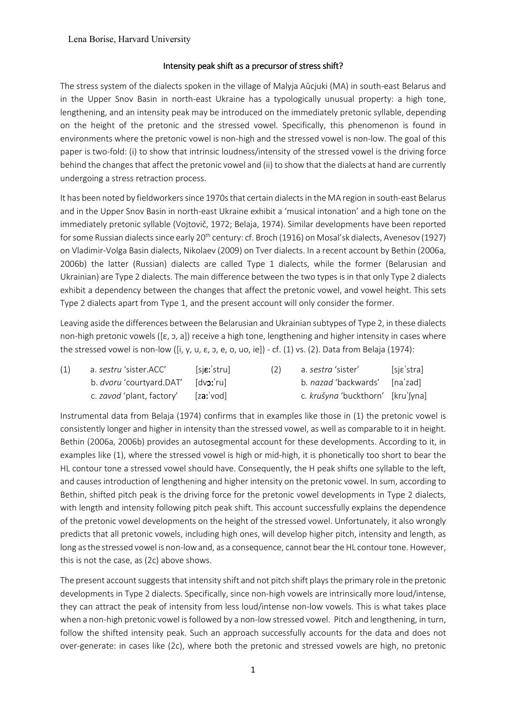## Intensity peak shift as a precursor of stress shift?

The stress system of the dialects spoken in the village of Malyja Aŭcjuki (MA) in south-east Belarus and in the Upper Snov Basin in north-east Ukraine has a typologically unusual property: a high tone, lengthening, and an intensity peak may be introduced on the immediately pretonic syllable, depending on the height of the pretonic and the stressed vowel. Specifically, this phenomenon is found in environments where the pretonic vowel is non-high and the stressed vowel is non-low. The goal of this paper is two-fold: (i) to show that intrinsic loudness/intensity of the stressed vowel is the driving force behind the changes that affect the pretonic vowel and (ii) to show that the dialects at hand are currently undergoing a stress retraction process.

It has been noted by fieldworkers since 1970s that certain dialects in the MA region in south-east Belarus and in the Upper Snov Basin in north-east Ukraine exhibit a 'musical intonation' and a high tone on the immediately pretonic syllable (Vojtovič, 1972; Belaja, 1974). Similar developments have been reported for some Russian dialects since early 20<sup>th</sup> century: cf. Broch (1916) on Mosal'sk dialects, Avenesov (1927) on Vladimir-Volga Basin dialects, Nikolaev (2009) on Tver dialects. In a recent account by Bethin (2006a, 2006b) the latter (Russian) dialects are called Type 1 dialects, while the former (Belarusian and Ukrainian) are Type 2 dialects. The main difference between the two types is in that only Type 2 dialects exhibit a dependency between the changes that affect the pretonic vowel, and vowel height. This sets Type 2 dialects apart from Type 1, and the present account will only consider the former.

Leaving aside the differences between the Belarusian and Ukrainian subtypes of Type 2, in these dialects non-high pretonic vowels ([ɛ, ɔ, a]) receive a high tone, lengthening and higher intensity in cases where the stressed vowel is non-low ([i, y, u,  $\varepsilon$ , o, e, o, uo, ie]) - cf. (1) vs. (2). Data from Belaja (1974):

| (1) | a. <i>sestru '</i> sister.ACC'                     | $[s$ i $\varepsilon$ : stru] | (2) | a. <i>sestra '</i> sister'        | [sjɛˈstra] |
|-----|----------------------------------------------------|------------------------------|-----|-----------------------------------|------------|
|     | b. <i>dvoru</i> 'courtyard.DAT' [dv <b>ɔ</b> ;'ru] |                              |     | b. nazad 'backwards' [na'zad]     |            |
|     | c. zavod 'plant, factory' [za: vod]                |                              |     | c. krušyna 'buckthorn' [kru'[yna] |            |

Instrumental data from Belaja (1974) confirms that in examples like those in (1) the pretonic vowel is consistently longer and higher in intensity than the stressed vowel, as well as comparable to it in height. Bethin (2006a, 2006b) provides an autosegmental account for these developments. According to it, in examples like (1), where the stressed vowel is high or mid-high, it is phonetically too short to bear the HL contour tone a stressed vowel should have. Consequently, the H peak shifts one syllable to the left, and causes introduction of lengthening and higher intensity on the pretonic vowel. In sum, according to Bethin, shifted pitch peak is the driving force for the pretonic vowel developments in Type 2 dialects, with length and intensity following pitch peak shift. This account successfully explains the dependence of the pretonic vowel developments on the height of the stressed vowel. Unfortunately, it also wrongly predicts that all pretonic vowels, including high ones, will develop higher pitch, intensity and length, as long as the stressed vowel is non-low and, as a consequence, cannot bear the HL contour tone. However, this is not the case, as (2c) above shows.

The present account suggests that intensity shift and not pitch shift plays the primary role in the pretonic developments in Type 2 dialects. Specifically, since non-high vowels are intrinsically more loud/intense, they can attract the peak of intensity from less loud/intense non-low vowels. This is what takes place when a non-high pretonic vowel is followed by a non-low stressed vowel. Pitch and lengthening, in turn, follow the shifted intensity peak. Such an approach successfully accounts for the data and does not over-generate: in cases like (2c), where both the pretonic and stressed vowels are high, no pretonic